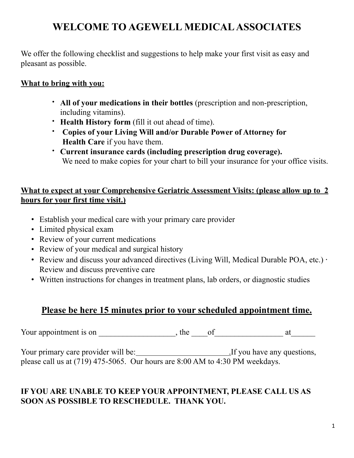# **WELCOME TO AGEWELL MEDICAL ASSOCIATES**

We offer the following checklist and suggestions to help make your first visit as easy and pleasant as possible.

### **What to bring with you:**

- **All of your medications in their bottles** (prescription and non-prescription, including vitamins).
- **Health History form** (fill it out ahead of time).
- **Copies of your Living Will and/or Durable Power of Attorney for Health Care** if you have them.
- **Current insurance cards (including prescription drug coverage).** We need to make copies for your chart to bill your insurance for your office visits.

### **What to expect at your Comprehensive Geriatric Assessment Visits: (please allow up to 2 hours for your first time visit.)**

- Establish your medical care with your primary care provider
- Limited physical exam
- Review of your current medications
- Review of your medical and surgical history
- Review and discuss your advanced directives (Living Will, Medical Durable POA, etc.) · Review and discuss preventive care
- Written instructions for changes in treatment plans, lab orders, or diagnostic studies

# **Please be here 15 minutes prior to your scheduled appointment time.**

Your appointment is on \_\_\_\_\_\_\_\_\_\_\_\_\_\_\_\_\_\_\_, the \_\_\_\_of\_\_\_\_\_\_\_\_\_\_\_\_\_\_\_\_\_ at\_\_\_\_\_\_

Your primary care provider will be: .If you have any questions, please call us at (719) 475-5065. Our hours are 8:00 AM to 4:30 PM weekdays.

## **IF YOU ARE UNABLE TO KEEP YOUR APPOINTMENT, PLEASE CALL US AS SOON AS POSSIBLE TO RESCHEDULE. THANK YOU.**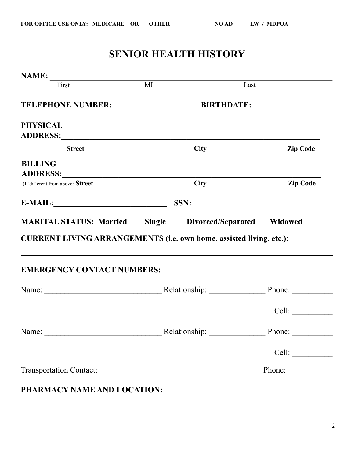# **SENIOR HEALTH HISTORY**

| $\textbf{NAME:}\n \begin{tabular}{c c} \hline \textbf{NAME:} & \textbf{M1} \end{tabular}$                                                                                                                                      |      |             |                                                         |
|--------------------------------------------------------------------------------------------------------------------------------------------------------------------------------------------------------------------------------|------|-------------|---------------------------------------------------------|
|                                                                                                                                                                                                                                |      | Last        |                                                         |
| TELEPHONE NUMBER: ____________________                                                                                                                                                                                         |      |             |                                                         |
| <b>PHYSICAL</b>                                                                                                                                                                                                                |      |             |                                                         |
| <b>Street</b>                                                                                                                                                                                                                  |      | <b>City</b> | <b>Zip Code</b>                                         |
| <b>BILLING</b><br>ADDRESS:                                                                                                                                                                                                     |      |             |                                                         |
| (If different from above: Street                                                                                                                                                                                               |      | <b>City</b> | <b>Zip Code</b>                                         |
|                                                                                                                                                                                                                                | SSN: |             |                                                         |
| <b>MARITAL STATUS: Married Single Divorced/Separated Widowed</b>                                                                                                                                                               |      |             |                                                         |
| CURRENT LIVING ARRANGEMENTS (i.e. own home, assisted living, etc.): ___________<br><b>EMERGENCY CONTACT NUMBERS:</b>                                                                                                           |      |             |                                                         |
| Name: Name: Name: Phone: Name: Name: Name: Name: Name: Name: Name: Name: Name: Name: Name: Name: Name: Name: Name: Name: Name: Name: Name: Name: Name: Name: Name: Name: Name: Name: Name: Name: Name: Name: Name: Name: Name: |      |             |                                                         |
|                                                                                                                                                                                                                                |      |             | Cell:                                                   |
| Name: Name: Nelationship: Nelationship: Nelationship: Nelationship: Nelationship: Nelationship: Nelationship: Nelationship: Nelationship: Nelationship: Nelationship: Nelationship: Nelationship: Nelationship: Nelationship:  |      |             |                                                         |
|                                                                                                                                                                                                                                |      |             | Cell:                                                   |
|                                                                                                                                                                                                                                |      |             | Phone: $\frac{1}{\sqrt{1-\frac{1}{2}}\cdot\frac{1}{2}}$ |
| PHARMACY NAME AND LOCATION:                                                                                                                                                                                                    |      |             |                                                         |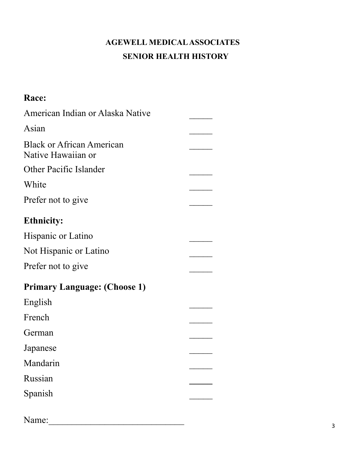# **AGEWELL MEDICAL ASSOCIATES SENIOR HEALTH HISTORY**

### **Race:**  American Indian or Alaska Native  $\mathcal{L}_\mathcal{L}$ Asian  $\frac{1}{2}$ **Black or African American**  $\frac{1}{2}$ Native Hawaiian or Other Pacific Islander  $\frac{1}{2}$ White  $\frac{1}{2}$ Prefer not to give  $\mathcal{L}_\mathcal{L}$ **Ethnicity:** Hispanic or Latino  $\frac{1}{2}$ Not Hispanic or Latino  $\frac{1}{2}$ Prefer not to give  $\frac{1}{2}$ **Primary Language: (Choose 1)** English  $\frac{1}{2}$ French  $\mathcal{L}_\mathcal{L}$ German  $\frac{1}{2}$ Japanese  $\frac{1}{2}$ Mandarin  $\frac{1}{2}$ Russian  $\frac{1}{2}$ Spanish  $\frac{1}{2}$ Name:\_\_\_\_\_\_\_\_\_\_\_\_\_\_\_\_\_\_\_\_\_\_\_\_\_\_\_\_\_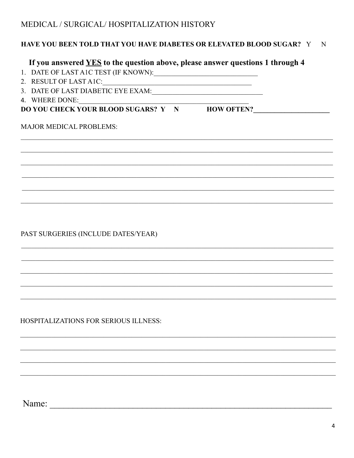## MEDICAL / SURGICAL/ HOSPITALIZATION HISTORY

#### HAVE YOU BEEN TOLD THAT YOU HAVE DIABETES OR ELEVATED BLOOD SUGAR? Y N

<u> 1989 - Johann Barbara, martin din Barbara, martin din Barbara, martin din Barbara, martin din Barbara, martin</u>

#### If you answered YES to the question above, please answer questions 1 through 4

- 1. DATE OF LAST A1C TEST (IF KNOWN):
- 2. RESULT OF LAST A1C:
- 3. DATE OF LAST DIABETIC EYE EXAM:
- 4. WHERE DONE:

### DO YOU CHECK YOUR BLOOD SUGARS? Y N HOW OFTEN?

#### **MAJOR MEDICAL PROBLEMS:**

PAST SURGERIES (INCLUDE DATES/YEAR)

**HOSPITALIZATIONS FOR SERIOUS ILLNESS:**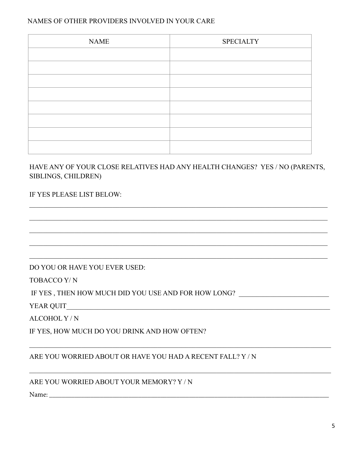#### NAMES OF OTHER PROVIDERS INVOLVED IN YOUR CARE

| <b>NAME</b> | <b>SPECIALTY</b> |
|-------------|------------------|
|             |                  |
|             |                  |
|             |                  |
|             |                  |
|             |                  |
|             |                  |
|             |                  |
|             |                  |

#### HAVE ANY OF YOUR CLOSE RELATIVES HAD ANY HEALTH CHANGES? YES / NO (PARENTS, SIBLINGS, CHILDREN)

#### IF YES PLEASE LIST BELOW:

DO YOU OR HAVE YOU EVER USED:

TOBACCO Y/N

IF YES , THEN HOW MUCH DID YOU USE AND FOR HOW LONG?

**YEAR QUIT** 

ALCOHOL Y/N

IF YES, HOW MUCH DO YOU DRINK AND HOW OFTEN?

#### ARE YOU WORRIED ABOUT OR HAVE YOU HAD A RECENT FALL? Y/N

#### ARE YOU WORRIED ABOUT YOUR MEMORY? Y / N

Name: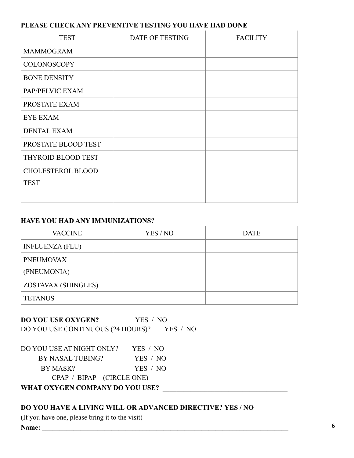#### **PLEASE CHECK ANY PREVENTIVE TESTING YOU HAVE HAD DONE**

| <b>TEST</b>              | DATE OF TESTING | <b>FACILITY</b> |
|--------------------------|-----------------|-----------------|
| <b>MAMMOGRAM</b>         |                 |                 |
| <b>COLONOSCOPY</b>       |                 |                 |
| <b>BONE DENSITY</b>      |                 |                 |
| PAP/PELVIC EXAM          |                 |                 |
| PROSTATE EXAM            |                 |                 |
| <b>EYE EXAM</b>          |                 |                 |
| <b>DENTAL EXAM</b>       |                 |                 |
| PROSTATE BLOOD TEST      |                 |                 |
| THYROID BLOOD TEST       |                 |                 |
| <b>CHOLESTEROL BLOOD</b> |                 |                 |
| <b>TEST</b>              |                 |                 |
|                          |                 |                 |

#### **HAVE YOU HAD ANY IMMUNIZATIONS?**

| <b>VACCINE</b>             | YES / NO | <b>DATE</b> |
|----------------------------|----------|-------------|
| <b>INFLUENZA (FLU)</b>     |          |             |
| <b>PNEUMOVAX</b>           |          |             |
| (PNEUMONIA)                |          |             |
| <b>ZOSTAVAX (SHINGLES)</b> |          |             |
| <b>TETANUS</b>             |          |             |

**DO YOU USE OXYGEN?** YES / NO DO YOU USE CONTINUOUS (24 HOURS)? YES / NO

| DO YOU USE AT NIGHT ONLY?                    | YES / NO |  |
|----------------------------------------------|----------|--|
| BY NASAL TUBING?                             | YES / NO |  |
| BY MASK?                                     | YES / NO |  |
| CPAP / BIPAP (CIRCLE ONE)                    |          |  |
| <b>UUT IM AULIANU AALIBI UU DA UALI UADA</b> |          |  |

**WHAT OXYGEN COMPANY DO YOU USE?** \_\_\_\_\_\_\_\_\_\_\_\_\_\_\_\_\_\_\_\_\_\_\_\_\_\_\_\_\_\_\_\_\_\_\_\_

#### **DO YOU HAVE A LIVING WILL OR ADVANCED DIRECTIVE? YES / NO**

(If you have one, please bring it to the visit)

**Name: \_\_\_\_\_\_\_\_\_\_\_\_\_\_\_\_\_\_\_\_\_\_\_\_\_\_\_\_\_\_\_\_\_\_\_\_\_\_\_\_\_\_\_\_\_\_\_\_\_\_\_\_\_\_\_\_\_\_\_\_\_\_\_\_\_\_\_\_\_\_\_**